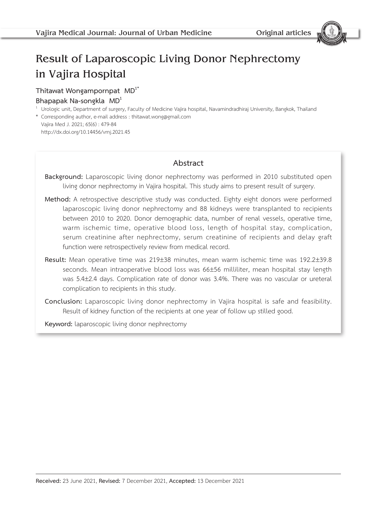# Result of Laparoscopic Living Donor Nephrectomy in Vajira Hospital

# **Thitawat Wongampornpat MD1\***

## **Bhapapak Na-songkla MD1**

 $1$  Urologic unit, Department of surgery, Faculty of Medicine Vajira hospital, Navamindradhiraj University, Bangkok, Thailand

\* Corresponding author, e-mail address : thitawat.wong@gmail.com Vajira Med J. 2021; 65(6) : 479-84 http://dx.doi.org/10.14456/vmj.2021.45

# **Abstract**

**Background:** Laparoscopic living donor nephrectomy was performed in 2010 substituted open living donor nephrectomy in Vajira hospital. This study aims to present result of surgery.

- **Method:** A retrospective descriptive study was conducted. Eighty eight donors were performed laparoscopic living donor nephrectomy and 88 kidneys were transplanted to recipients between 2010 to 2020. Donor demographic data, number of renal vessels, operative time, warm ischemic time, operative blood loss, length of hospital stay, complication, serum creatinine after nephrectomy, serum creatinine of recipients and delay graft function were retrospectively review from medical record.
- **Result:** Mean operative time was 219±38 minutes, mean warm ischemic time was 192.2±39.8 seconds. Mean intraoperative blood loss was 66±56 milliliter, mean hospital stay length was 5.4±2.4 days. Complication rate of donor was 3.4%. There was no vascular or ureteral complication to recipients in this study.
- **Conclusion:** Laparoscopic living donor nephrectomy in Vajira hospital is safe and feasibility. Result of kidney function of the recipients at one year of follow up stilled good.

**Keyword:** laparoscopic living donor nephrectomy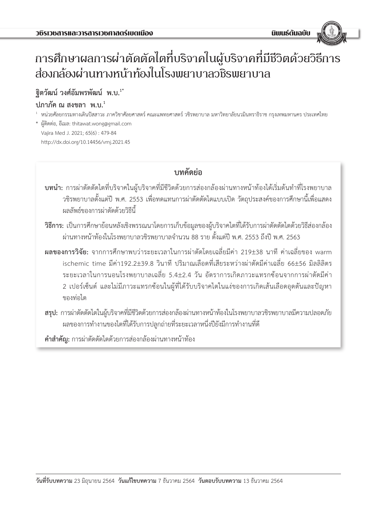# การศึกษาผลการผ่าตัดตัดไตที่บริจาคในผู้บริจาคที่มีชีวิตด้วยวิธีการ ส่องกล้องผ่านทางหน้าท้องในโรงพยาบาลวชิรพยาบาล

# **ฐิตวัฒน์ วงศ์อัมพรพัฒน์ พ.บ.1\***

# **ปภาภัค ณ สงขลา พ.บ.<sup>1</sup>**

- $^{\rm ^{\rm ^{\rm ^{\rm ^{\rm ^{\rm ^{\rm }}}}}}}$ หน่วยศัลยกรรมทางเดินปัสสาวะ ภาควิชาศัลยศาสตร์ คณะแพทยศาสตร์ วชิรพยาบาล มหาวิทยาลัยนวมินทราธิราช กรุงเทพมหานคร ประเทศไทย
- \* ผู้ติดต่อ, อีเมล: thitawat.wong@gmail.com Vajira Med J. 2021; 65(6) : 479-84 http://dx.doi.org/10.14456/vmj.2021.45

# **บทคัดย่อ**

- **บทน�ำ:** การผ่าตัดตัดไตที่บริจาคในผู้บริจาคที่มีชีวิตด้วยการส่องกล้องผ่านทางหน้าท้องได้เริ่มต้นท�ำที่โรงพยาบาล วชิรพยาบาลตั้งแต่ปี พ.ศ. 2553 เพื่อทดแทนการผ่าตัดตัดไตแบบเปิด วัตถุประสงค์ของการศึกษานี้เพื่อแสดง ผลลัพธ์ของการผ่าตัดด้วยวิธีนี้
- **วิธีการ:** เป็นการศึกษาย้อนหลังเชิงพรรณนาโดยการเก็บข้อมูลของผู้บริจาคไตที่ได้รับการผ่าตัดตัดไตด้วยวิธีส่องกล้อง ผ่านทางหน้าท้องในโรงพยาบาลวชิรพยาบาลจ�ำนวน 88 ราย ตั้งแต่ปี พ.ศ. 2553 ถึงปี พ.ศ. 2563
- **ผลของการวิจัย:** จากการศึกษาพบว่าระยะเวลาในการผ่าตัดโดยเฉลี่ยมีค่า 219±38 นาที ค่าเฉลี่ยของ warm ischemic time มีค่า192.2±39.8 วินาที ปริมาณเลือดที่เสียระหว่างผ่าตัดมีค่าเฉลี่ย 66±56 มิลลิลิตร ระยะเวลาในการนอนโรงพยาบาลเฉลี่ย 5.4±2.4 วัน อัตราการเกิดภาวะแทรกซ้อนจากการผ่าตัดมีค่า 2 เปอร์เซ็นต์ และไม่มีภาวะแทรกซ้อนในผู้ที่ได้รับบริจาคไตในแง่ของการเกิดเส้นเลือดอุดตันและปัญหา ของท่อไต
- **สรุป:** การผ่าตัดตัดไตในผู้บริจาคที่มีชีวิตด้วยการส่องกล้องผ่านทางหน้าท้องในโรงพยาบาลวชิรพยาบาลมีความปลอดภัย ผลของการทำงานของไตที่ได้รับการปลูกถ่ายที่ระยะเวลาหนึ่งปียังมีการทำงานที่ดี

**ค�ำส�ำคัญ:** การผ่าตัดตัดไตด้วยการส่องกล้องผ่านทางหน้าท้อง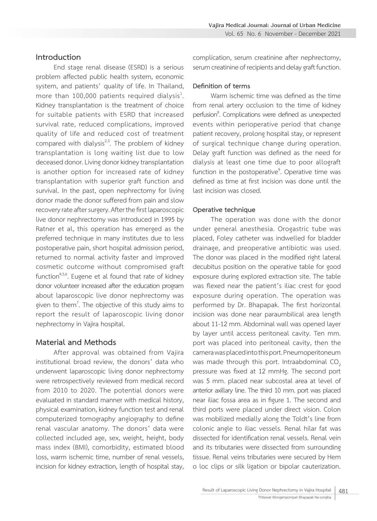#### **Introduction**

End stage renal disease (ESRD) is a serious problem affected public health system, economic system, and patients' quality of life. In Thailand, more than 100,000 patients required dialysis<sup>1</sup>. . Kidney transplantation is the treatment of choice for suitable patients with ESRD that increased survival rate, reduced complications, improved quality of life and reduced cost of treatment compared with dialysis<sup>2,3</sup>. The problem of kidney transplantation is long waiting list due to low deceased donor. Living donor kidney transplantation is another option for increased rate of kidney transplantation with superior graft function and survival. In the past, open nephrectomy for living donor made the donor suffered from pain and slow recovery rate after surgery. After the first laparoscopic live donor nephrectomy was introduced in 1995 by Ratner et al, this operation has emerged as the preferred technique in many institutes due to less postoperative pain, short hospital admission period, returned to normal activity faster and improved cosmetic outcome without compromised graft function<sup>4,5,6</sup>. Eugene et al found that rate of kidney donor volunteer increased after the education program about laparoscopic live donor nephrectomy was given to them<sup>7</sup>. The objective of this study aims to report the result of laparoscopic living donor nephrectomy in Vajira hospital.

## **Material and Methods**

After approval was obtained from Vajira institutional broad review, the donors' data who underwent laparoscopic living donor nephrectomy were retrospectively reviewed from medical record from 2010 to 2020. The potential donors were evaluated in standard manner with medical history, physical examination, kidney function test and renal computerized tomography angiography to define renal vascular anatomy. The donors' data were collected included age, sex, weight, height, body mass index (BMI), comorbidity, estimated blood loss, warm ischemic time, number of renal vessels, incision for kidney extraction, length of hospital stay,

complication, serum creatinine after nephrectomy, serum creatinine of recipients and delay graft function.

#### **Definition of terms**

Warm ischemic time was defined as the time from renal artery occlusion to the time of kidney perfusion<sup>8</sup>. Complications were defined as unexpected events within perioperative period that change patient recovery, prolong hospital stay, or represent of surgical technique change during operation. Delay graft function was defined as the need for dialysis at least one time due to poor allograft function in the postoperative<sup>9</sup>. Operative time was defined as time at first incision was done until the last incision was closed.

#### **Operative technique**

The operation was done with the donor under general anesthesia. Orogastric tube was placed, Foley catheter was indwelled for bladder drainage, and preoperative antibiotic was used. The donor was placed in the modified right lateral decubitus position on the operative table for good exposure during explored extraction site. The table was flexed near the patient's iliac crest for good exposure during operation. The operation was performed by Dr. Bhapapak. The first horizontal incision was done near paraumbilical area length about 11-12 mm. Abdominal wall was opened layer by layer until access peritoneal cavity. Ten mm. port was placed into peritoneal cavity, then the camera was placed into this port. Pneumoperitoneum was made through this port. Intraabdominal  $CO<sub>2</sub>$ pressure was fixed at 12 mmHg. The second port was 5 mm. placed near subcostal area at level of anterior axillary line. The third 10 mm. port was placed near iliac fossa area as in figure 1. The second and third ports were placed under direct vision. Colon was mobilized medially along the Toldt's line from colonic angle to iliac vessels. Renal hilar fat was dissected for identification renal vessels. Renal vein and its tributaries were dissected from surrounding tissue. Renal veins tributaries were secured by Hem o loc clips or silk ligation or bipolar cauterization.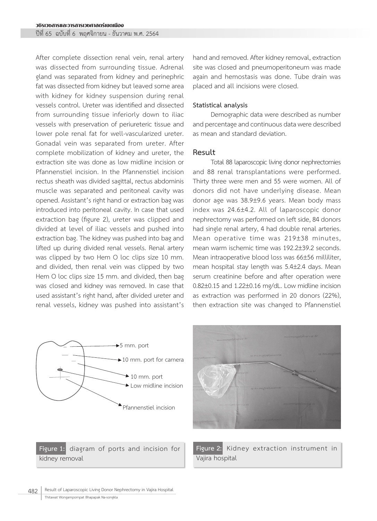ปีที่ 65 ฉบับที่ 6 พฤศจิกายน - ธันวาคม พ.ศ. 2564

After complete dissection renal vein, renal artery was dissected from surrounding tissue. Adrenal gland was separated from kidney and perinephric fat was dissected from kidney but leaved some area with kidney for kidney suspension during renal vessels control. Ureter was identified and dissected from surrounding tissue inferiorly down to iliac vessels with preservation of periureteric tissue and lower pole renal fat for well-vascularized ureter. Gonadal vein was separated from ureter. After complete mobilization of kidney and ureter, the extraction site was done as low midline incision or Pfannenstiel incision. In the Pfannenstiel incision rectus sheath was divided sagittal, rectus abdominis muscle was separated and peritoneal cavity was opened. Assistant's right hand or extraction bag was introduced into peritoneal cavity. In case that used extraction bag (figure 2), ureter was clipped and divided at level of iliac vessels and pushed into extraction bag. The kidney was pushed into bag and lifted up during divided renal vessels. Renal artery was clipped by two Hem O loc clips size 10 mm. and divided, then renal vein was clipped by two Hem O loc clips size 15 mm. and divided, then bag was closed and kidney was removed. In case that used assistant's right hand, after divided ureter and renal vessels, kidney was pushed into assistant's

hand and removed. After kidney removal, extraction site was closed and pneumoperitoneum was made again and hemostasis was done. Tube drain was placed and all incisions were closed.

#### **Statistical analysis**

Demographic data were described as number and percentage and continuous data were described as mean and standard deviation.

#### **Result**

Total 88 laparoscopic living donor nephrectomies and 88 renal transplantations were performed. Thirty three were men and 55 were women. All of donors did not have underlying disease. Mean donor age was 38.9±9.6 years. Mean body mass index was 24.6±4.2. All of laparoscopic donor nephrectomy was performed on left side, 84 donors had single renal artery, 4 had double renal arteries. Mean operative time was 219±38 minutes, mean warm ischemic time was 192.2±39.2 seconds. Mean intraoperative blood loss was 66±56 milliliter, mean hospital stay length was 5.4±2.4 days. Mean serum creatinine before and after operation were 0.82±0.15 and 1.22±0.16 mg/dL. Low midline incision as extraction was performed in 20 donors (22%), then extraction site was changed to Pfannenstiel



**Figure 1:** diagram of ports and incision for kidney removal



**Figure 2:** Kidney extraction instrument in Vajira hospital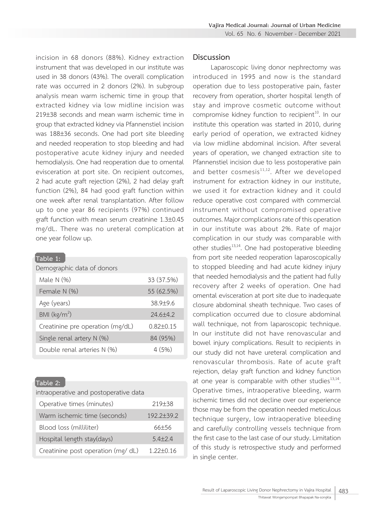incision in 68 donors (88%). Kidney extraction instrument that was developed in our institute was used in 38 donors (43%). The overall complication rate was occurred in 2 donors (2%). In subgroup analysis mean warm ischemic time in group that extracted kidney via low midline incision was 219±38 seconds and mean warm ischemic time in group that extracted kidney via Pfannenstiel incision was 188±36 seconds. One had port site bleeding and needed reoperation to stop bleeding and had postoperative acute kidney injury and needed hemodialysis. One had reoperation due to omental evisceration at port site. On recipient outcomes, 2 had acute graft rejection (2%), 2 had delay graft function (2%), 84 had good graft function within one week after renal transplantation. After follow up to one year 86 recipients (97%) continued graft function with mean serum creatinine 1.3±0.45 mg/dL. There was no ureteral complication at one year follow up.

| Table 1:                         |                 |
|----------------------------------|-----------------|
| Demographic data of donors       |                 |
| Male N $(%)$                     | 33 (37.5%)      |
| Female N (%)                     | 55 (62.5%)      |
| Age (years)                      | $38.9 + 9.6$    |
| BMI (kg/m <sup>2</sup> )         | $24.6 + 4.2$    |
| Creatinine pre operation (mg/dL) | $0.82 \pm 0.15$ |
| Single renal artery $N$ (%)      | 84 (95%)        |
| Double renal arteries N (%)      | 4(5%)           |

#### **Table 2:**

| intraoperative and postoperative data |                     |  |
|---------------------------------------|---------------------|--|
| Operative times (minutes)             | 219 <sup>+</sup> 38 |  |
| Warm ischemic time (seconds)          | $192.2 + 39.2$      |  |
| Blood loss (milliliter)               | 66±56               |  |
| Hospital length stay(days)            | $5.4 + 2.4$         |  |
| Creatinine post operation (mg/dL)     | $1.22 + 0.16$       |  |

#### **Discussion**

Laparoscopic living donor nephrectomy was introduced in 1995 and now is the standard operation due to less postoperative pain, faster recovery from operation, shorter hospital length of stay and improve cosmetic outcome without compromise kidney function to recipient<sup>10</sup>. In our institute this operation was started in 2010, during early period of operation, we extracted kidney via low midline abdominal incision. After several years of operation, we changed extraction site to Pfannenstiel incision due to less postoperative pain and better cosmesis<sup>11,12</sup>. After we developed instrument for extraction kidney in our institute, we used it for extraction kidney and it could reduce operative cost compared with commercial instrument without compromised operative outcomes. Major complications rate of this operation in our institute was about 2%. Rate of major complication in our study was comparable with other studies<sup>13,14</sup>. One had postoperative bleeding from port site needed reoperation laparoscopically to stopped bleeding and had acute kidney injury that needed hemodialysis and the patient had fully recovery after 2 weeks of operation. One had omental evisceration at port site due to inadequate closure abdominal sheath technique. Two cases of complication occurred due to closure abdominal wall technique, not from laparoscopic technique. In our institute did not have renovascular and bowel injury complications. Result to recipients in our study did not have ureteral complication and renovascular thrombosis. Rate of acute graft rejection, delay graft function and kidney function at one year is comparable with other studies $13,14$ .<br>Operative times, intraoperative bleeding, warm ischemic times did not decline over our experience those may be from the operation needed meticulous technique surgery, low intraoperative bleeding and carefully controlling vessels technique from the first case to the last case of our study. Limitation of this study is retrospective study and performed in single center.